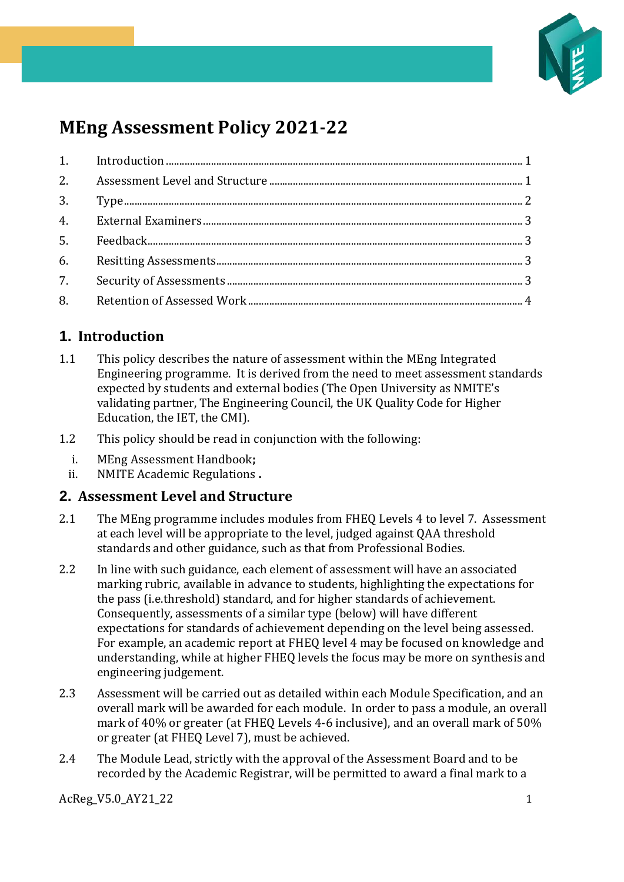

# **MEng Assessment Policy 2021-22**

## <span id="page-0-0"></span>**1. Introduction**

- 1.1 This policy describes the nature of assessment within the MEng Integrated Engineering programme. It is derived from the need to meet assessment standards expected by students and external bodies (The Open University as NMITE's validating partner, The Engineering Council, the UK Quality Code for Higher Education, the IET, the CMI).
- 1.2 This policy should be read in conjunction with the following:
	- i. MEng Assessment Handbook**;**
	- ii. NMITE Academic Regulations **.**

#### <span id="page-0-1"></span>**2. Assessment Level and Structure**

- 2.1 The MEng programme includes modules from FHEQ Levels 4 to level 7. Assessment at each level will be appropriate to the level, judged against QAA threshold standards and other guidance, such as that from Professional Bodies.
- 2.2 In line with such guidance, each element of assessment will have an associated marking rubric, available in advance to students, highlighting the expectations for the pass (i.e.threshold) standard, and for higher standards of achievement. Consequently, assessments of a similar type (below) will have different expectations for standards of achievement depending on the level being assessed. For example, an academic report at FHEQ level 4 may be focused on knowledge and understanding, while at higher FHEQ levels the focus may be more on synthesis and engineering judgement.
- 2.3 Assessment will be carried out as detailed within each Module Specification, and an overall mark will be awarded for each module. In order to pass a module, an overall mark of 40% or greater (at FHEQ Levels 4-6 inclusive), and an overall mark of 50% or greater (at FHEQ Level 7), must be achieved.
- 2.4 The Module Lead, strictly with the approval of the Assessment Board and to be recorded by the Academic Registrar, will be permitted to award a final mark to a

AcReg V5.0 AY21 22 1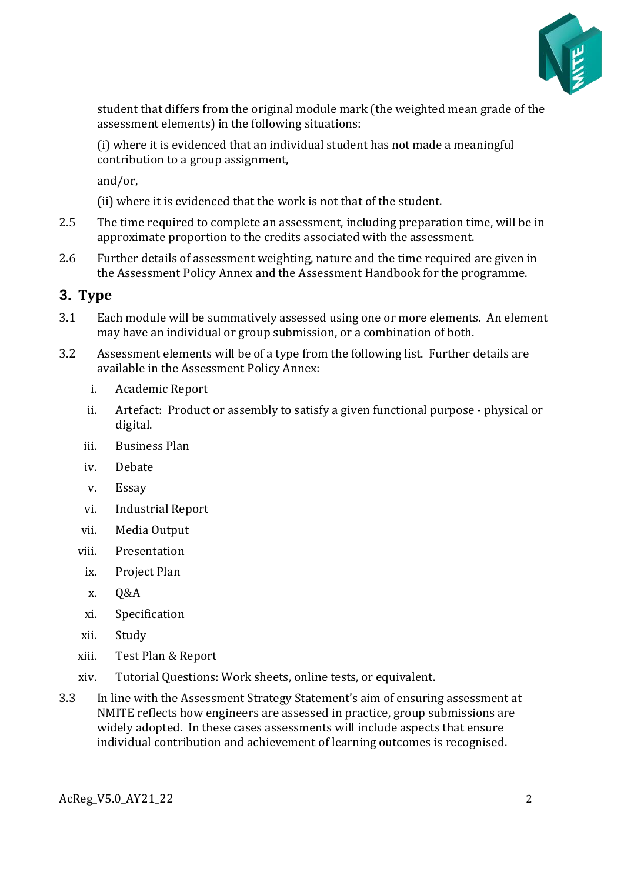

student that differs from the original module mark (the weighted mean grade of the assessment elements) in the following situations:

(i) where it is evidenced that an individual student has not made a meaningful contribution to a group assignment,

and/or,

(ii) where it is evidenced that the work is not that of the student.

- 2.5 The time required to complete an assessment, including preparation time, will be in approximate proportion to the credits associated with the assessment.
- 2.6 Further details of assessment weighting, nature and the time required are given in the Assessment Policy Annex and the Assessment Handbook for the programme.

#### <span id="page-1-0"></span>**3. Type**

- 3.1 Each module will be summatively assessed using one or more elements. An element may have an individual or group submission, or a combination of both.
- 3.2 Assessment elements will be of a type from the following list. Further details are available in the Assessment Policy Annex:
	- i. Academic Report
	- ii. Artefact: Product or assembly to satisfy a given functional purpose physical or digital.
	- iii. Business Plan
	- iv. Debate
	- v. Essay
	- vi. Industrial Report
	- vii. Media Output
	- viii. Presentation
		- ix. Project Plan
		- x. Q&A
		- xi. Specification
	- xii. Study
	- xiii. Test Plan & Report
	- xiv. Tutorial Questions: Work sheets, online tests, or equivalent.
- 3.3 In line with the Assessment Strategy Statement's aim of ensuring assessment at NMITE reflects how engineers are assessed in practice, group submissions are widely adopted. In these cases assessments will include aspects that ensure individual contribution and achievement of learning outcomes is recognised.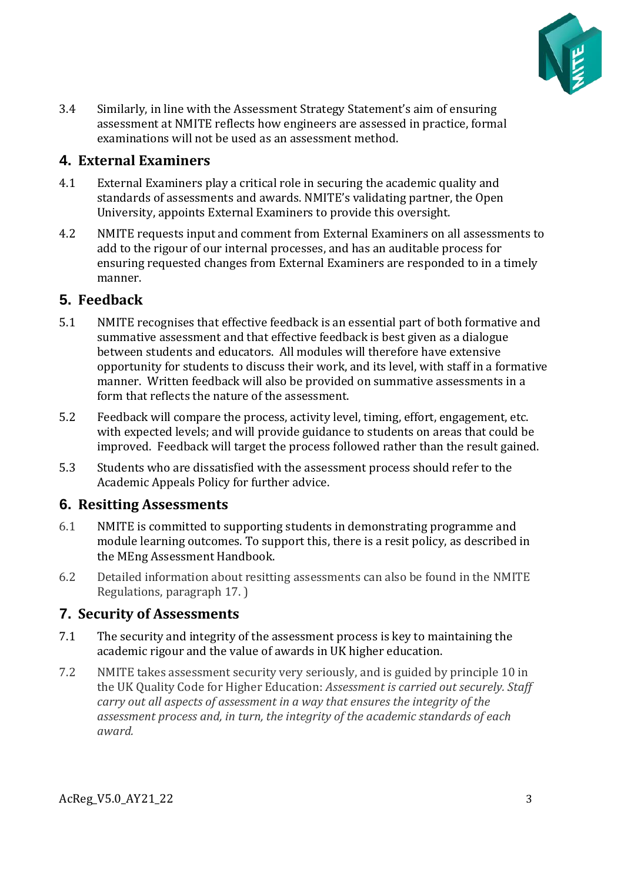

3.4 Similarly, in line with the Assessment Strategy Statement's aim of ensuring assessment at NMITE reflects how engineers are assessed in practice, formal examinations will not be used as an assessment method.

#### <span id="page-2-0"></span>**4. External Examiners**

- 4.1 External Examiners play a critical role in securing the academic quality and standards of assessments and awards. NMITE's validating partner, the Open University, appoints External Examiners to provide this oversight.
- 4.2 NMITE requests input and comment from External Examiners on all assessments to add to the rigour of our internal processes, and has an auditable process for ensuring requested changes from External Examiners are responded to in a timely manner.

## <span id="page-2-1"></span>**5. Feedback**

- 5.1 NMITE recognises that effective feedback is an essential part of both formative and summative assessment and that effective feedback is best given as a dialogue between students and educators. All modules will therefore have extensive opportunity for students to discuss their work, and its level, with staff in a formative manner. Written feedback will also be provided on summative assessments in a form that reflects the nature of the assessment.
- 5.2 Feedback will compare the process, activity level, timing, effort, engagement, etc. with expected levels; and will provide guidance to students on areas that could be improved. Feedback will target the process followed rather than the result gained.
- 5.3 Students who are dissatisfied with the assessment process should refer to the Academic Appeals Policy for further advice.

## <span id="page-2-2"></span>**6. Resitting Assessments**

- 6.1 NMITE is committed to supporting students in demonstrating programme and module learning outcomes. To support this, there is a resit policy, as described in the MEng Assessment Handbook.
- 6.2 Detailed information about resitting assessments can also be found in the NMITE Regulations, paragraph 17. )

## <span id="page-2-3"></span>**7. Security of Assessments**

- 7.1 The security and integrity of the assessment process is key to maintaining the academic rigour and the value of awards in UK higher education.
- 7.2 NMITE takes assessment security very seriously, and is guided by principle 10 in the UK Quality Code for Higher Education: *Assessment is carried out securely. Staff carry out all aspects of assessment in a way that ensures the integrity of the assessment process and, in turn, the integrity of the academic standards of each award.*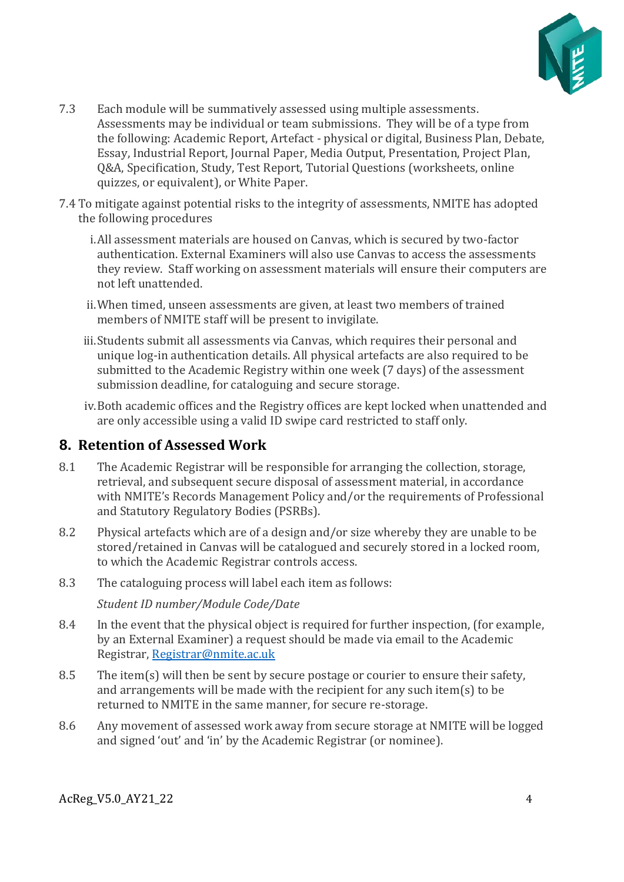

- 7.3 Each module will be summatively assessed using multiple assessments. Assessments may be individual or team submissions. They will be of a type from the following: Academic Report, Artefact - physical or digital, Business Plan, Debate, Essay, Industrial Report, Journal Paper, Media Output, Presentation, Project Plan, Q&A, Specification, Study, Test Report, Tutorial Questions (worksheets, online quizzes, or equivalent), or White Paper.
- 7.4 To mitigate against potential risks to the integrity of assessments, NMITE has adopted the following procedures
	- i.All assessment materials are housed on Canvas, which is secured by two-factor authentication. External Examiners will also use Canvas to access the assessments they review. Staff working on assessment materials will ensure their computers are not left unattended.
	- ii.When timed, unseen assessments are given, at least two members of trained members of NMITE staff will be present to invigilate.
	- iii.Students submit all assessments via Canvas, which requires their personal and unique log-in authentication details. All physical artefacts are also required to be submitted to the Academic Registry within one week (7 days) of the assessment submission deadline, for cataloguing and secure storage.
	- iv.Both academic offices and the Registry offices are kept locked when unattended and are only accessible using a valid ID swipe card restricted to staff only.

#### <span id="page-3-0"></span>**8. Retention of Assessed Work**

- 8.1 The Academic Registrar will be responsible for arranging the collection, storage, retrieval, and subsequent secure disposal of assessment material, in accordance with NMITE's Records Management Policy and/or the requirements of Professional and Statutory Regulatory Bodies (PSRBs).
- 8.2 Physical artefacts which are of a design and/or size whereby they are unable to be stored/retained in Canvas will be catalogued and securely stored in a locked room, to which the Academic Registrar controls access.
- 8.3 The cataloguing process will label each item as follows:

*Student ID number/Module Code/Date*

- 8.4 In the event that the physical object is required for further inspection, (for example, by an External Examiner) a request should be made via email to the Academic Registrar, [Registrar@nmite.ac.uk](mailto:Registrar@nmite.ac.uk)
- 8.5 The item(s) will then be sent by secure postage or courier to ensure their safety, and arrangements will be made with the recipient for any such item(s) to be returned to NMITE in the same manner, for secure re-storage.
- 8.6 Any movement of assessed work away from secure storage at NMITE will be logged and signed 'out' and 'in' by the Academic Registrar (or nominee).